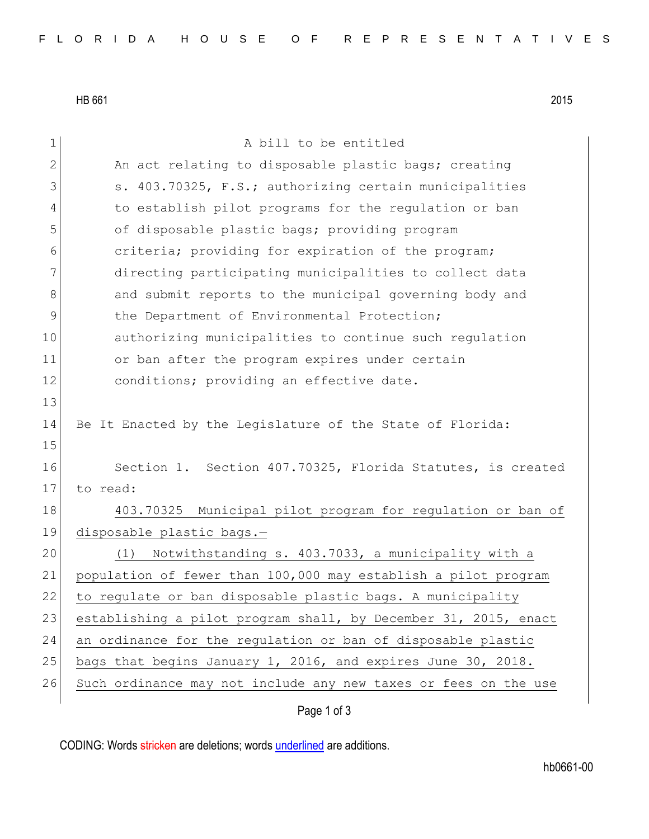HB 661 2015

Page 1 of 3 1 a bill to be entitled 2 An act relating to disposable plastic bags; creating 3 s. 403.70325, F.S.; authorizing certain municipalities 4 to establish pilot programs for the regulation or ban 5 of disposable plastic bags; providing program 6 criteria; providing for expiration of the program; 7 directing participating municipalities to collect data 8 and submit reports to the municipal governing body and 9 100 the Department of Environmental Protection; 10 authorizing municipalities to continue such regulation 11 or ban after the program expires under certain 12 conditions; providing an effective date. 13 14 Be It Enacted by the Legislature of the State of Florida: 15 16 Section 1. Section 407.70325, Florida Statutes, is created 17 to read: 18 403.70325 Municipal pilot program for regulation or ban of 19 disposable plastic bags.— 20 (1) Notwithstanding s. 403.7033, a municipality with a 21 population of fewer than 100,000 may establish a pilot program 22 to regulate or ban disposable plastic bags. A municipality 23 establishing a pilot program shall, by December 31, 2015, enact 24 an ordinance for the regulation or ban of disposable plastic 25 bags that begins January 1, 2016, and expires June 30, 2018. 26 Such ordinance may not include any new taxes or fees on the use

CODING: Words stricken are deletions; words underlined are additions.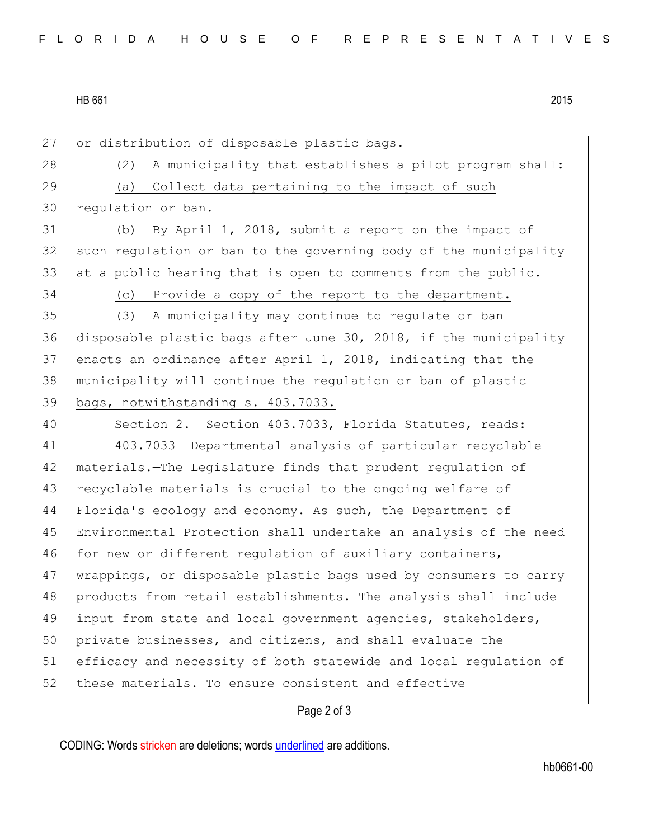## HB 661 2015

27 or distribution of disposable plastic bags. 28 (2) A municipality that establishes a pilot program shall: 29 (a) Collect data pertaining to the impact of such regulation or ban. (b) By April 1, 2018, submit a report on the impact of 32 such regulation or ban to the governing body of the municipality 33 at a public hearing that is open to comments from the public. (c) Provide a copy of the report to the department. (3) A municipality may continue to regulate or ban disposable plastic bags after June 30, 2018, if the municipality enacts an ordinance after April 1, 2018, indicating that the municipality will continue the regulation or ban of plastic bags, notwithstanding s. 403.7033. 40 Section 2. Section 403.7033, Florida Statutes, reads: 403.7033 Departmental analysis of particular recyclable materials.—The Legislature finds that prudent regulation of 43 recyclable materials is crucial to the ongoing welfare of Florida's ecology and economy. As such, the Department of Environmental Protection shall undertake an analysis of the need 46 for new or different regulation of auxiliary containers, wrappings, or disposable plastic bags used by consumers to carry products from retail establishments. The analysis shall include input from state and local government agencies, stakeholders, 50 private businesses, and citizens, and shall evaluate the efficacy and necessity of both statewide and local regulation of 52 these materials. To ensure consistent and effective

## Page 2 of 3

CODING: Words stricken are deletions; words underlined are additions.